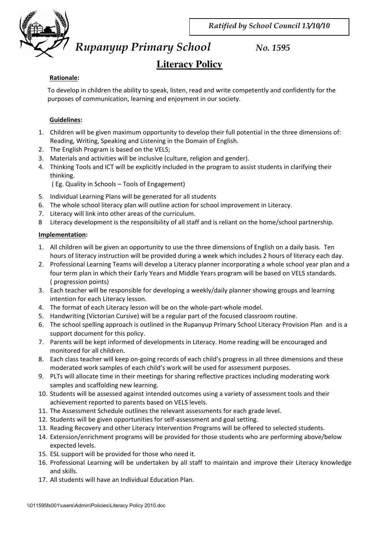

*Rupanyup Primary School No. 1595* 

# **Literacy Policy**

### **Rationale:**

To develop in children the ability to speak, listen, read and write competently and confidently for the purposes of communication, learning and enjoyment in our society.

## **Guidelines:**

- 1. Children will be given maximum opportunity to develop their full potential in the three dimensions of: Reading, Writing, Speaking and Listening in the Domain of English.
- 2. The English Program is based on the VELS;
- 3. Materials and activities will be inclusive (culture, religion and gender).
- 4. Thinking Tools and ICT will be explicitly included in the program to assist students in clarifying their thinking.

( Eg. Quality in Schools – Tools of Engagement)

- 5. Individual Learning Plans will be generated for all students
- 6. The whole school literacy plan will outline action for school improvement in Literacy.
- 7. Literacy will link into other areas of the curriculum.
- 8 Literacy development is the responsibility of all staff and is reliant on the home/school partnership.

### **Implementation:**

- 1. All children will be given an opportunity to use the three dimensions of English on a daily basis. Ten hours of literacy instruction will be provided during a week which includes 2 hours of literacy each day.
- 2. Professional Learning Teams will develop a Literacy planner incorporating a whole school year plan and a four term plan in which their Early Years and Middle Years program will be based on VELS standards. ( progression points)
- 3. Each teacher will be responsible for developing a weekly/daily planner showing groups and learning intention for each Literacy lesson.
- 4. The format of each Literacy lesson will be on the whole-part-whole model.
- 5. Handwriting (Victorian Cursive) will be a regular part of the focused classroom routine.
- 6. The school spelling approach is outlined in the Rupanyup Primary School Literacy Provision Plan and is a support document for this policy.
- 7. Parents will be kept informed of developments in Literacy. Home reading will be encouraged and monitored for all children.
- 8. Each class teacher will keep on-going records of each child's progress in all three dimensions and these moderated work samples of each child's work will be used for assessment purposes.
- 9. PLTs will allocate time in their meetings for sharing reflective practices including moderating work samples and scaffolding new learning.
- 10. Students will be assessed against intended outcomes using a variety of assessment tools and their achievement reported to parents based on VELS levels.
- 11. The Assessment Schedule outlines the relevant assessments for each grade level.
- 12. Students will be given opportunities for self-assessment and goal setting.
- 13. Reading Recovery and other Literacy Intervention Programs will be offered to selected students.
- 14. Extension/enrichment programs will be provided for those students who are performing above/below expected levels.
- 15. ESL support will be provided for those who need it.
- 16. Professional Learning will be undertaken by all staff to maintain and improve their Literacy knowledge and skills.
- 17. All students will have an Individual Education Plan.